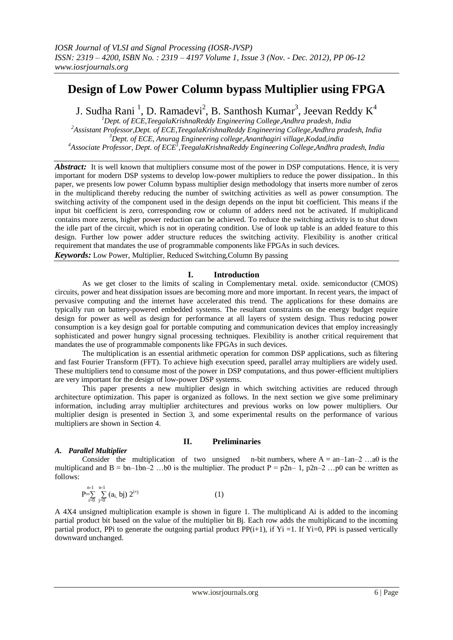# **Design of Low Power Column bypass Multiplier using FPGA**

J. Sudha Rani  $^{1}$ , D. Ramadevi $^{2}$ , B. Santhosh Kumar $^{3}$ , Jeevan Reddy K $^{4}$ 

*Dept. of ECE,TeegalaKrishnaReddy Engineering College,Andhra pradesh, India Assistant Professor,Dept. of ECE,TeegalaKrishnaReddy Engineering College,Andhra pradesh, India Dept. of ECE, Anurag Engineering college,Ananthagiri village,Kodad,india Associate Professor, Dept. of ECE<sup>1</sup> ,TeegalaKrishnaReddy Engineering College,Andhra pradesh, India*

*Abstract:* It is well known that multipliers consume most of the power in DSP computations. Hence, it is very important for modern DSP systems to develop low-power multipliers to reduce the power dissipation.. In this paper, we presents low power Column bypass multiplier design methodology that inserts more number of zeros in the multiplicand thereby reducing the number of switching activities as well as power consumption. The switching activity of the component used in the design depends on the input bit coefficient. This means if the input bit coefficient is zero, corresponding row or column of adders need not be activated. If multiplicand contains more zeros, higher power reduction can be achieved. To reduce the switching activity is to shut down the idle part of the circuit, which is not in operating condition. Use of look up table is an added feature to this design. Further low power adder structure reduces the switching activity. Flexibility is another critical requirement that mandates the use of programmable components like FPGAs in such devices. *Keywords:* Low Power, Multiplier, Reduced Switching,Column By passing

# **I. Introduction**

As we get closer to the limits of scaling in Complementary metal. oxide. semiconductor (CMOS) circuits, power and heat dissipation issues are becoming more and more important. In recent years, the impact of pervasive computing and the internet have accelerated this trend. The applications for these domains are typically run on battery-powered embedded systems. The resultant constraints on the energy budget require design for power as well as design for performance at all layers of system design. Thus reducing power consumption is a key design goal for portable computing and communication devices that employ increasingly sophisticated and power hungry signal processing techniques. Flexibility is another critical requirement that mandates the use of programmable components like FPGAs in such devices.

The multiplication is an essential arithmetic operation for common DSP applications, such as filtering and fast Fourier Transform (FFT). To achieve high execution speed, parallel array multipliers are widely used. These multipliers tend to consume most of the power in DSP computations, and thus power-efficient multipliers are very important for the design of low-power DSP systems.

This paper presents a new multiplier design in which switching activities are reduced through architecture optimization. This paper is organized as follows. In the next section we give some preliminary information, including array multiplier architectures and previous works on low power multipliers. Our multiplier design is presented in Section 3, and some experimental results on the performance of various multipliers are shown in Section 4.

### **II. Preliminaries**

# *A. Parallel Multiplier*

Consider the multiplication of two unsigned n-bit numbers, where  $A = an-1an-2$  ...a0 is the multiplicand and B = bn–1bn–2 ...b0 is the multiplier. The product  $P = p2n-1$ ,  $p2n-2$  ...p0 can be written as follows:

$$
P=\sum_{i=0}^{n-1}\sum_{j=0}^{n-1}(a_{i,} b_{j}) 2^{i+j}
$$
 (1)

A 4X4 unsigned multiplication example is shown in figure 1. The multiplicand Ai is added to the incoming partial product bit based on the value of the multiplier bit Bj. Each row adds the multiplicand to the incoming partial product, PPi to generate the outgoing partial product PP $(i+1)$ , if  $yi =1$ . If  $Y_i =0$ , PPi is passed vertically downward unchanged.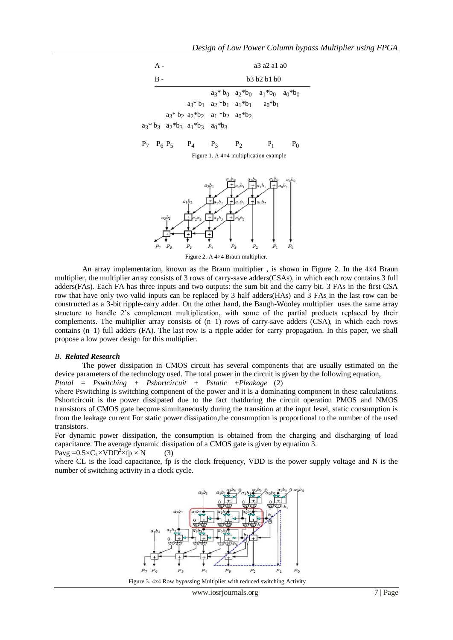# *Design of Low Power Column bypass Multiplier using FPGA*

| A - |                         |                                                                                                                                         |                                                                                                                                                                |                | a3 a2 a1 a0                                                                                                                             |       |
|-----|-------------------------|-----------------------------------------------------------------------------------------------------------------------------------------|----------------------------------------------------------------------------------------------------------------------------------------------------------------|----------------|-----------------------------------------------------------------------------------------------------------------------------------------|-------|
| B - |                         |                                                                                                                                         |                                                                                                                                                                |                | b3 b2 b1 b0                                                                                                                             |       |
|     |                         |                                                                                                                                         | $a_3$ <sup>*</sup> $b_1$ $a_2$ <sup>*</sup> $b_1$ $a_1$ <sup>*</sup> $b_1$ $a_0$ <sup>*</sup> $b_1$<br>$a_3$ * $b_2$ $a_2$ * $b_2$ $a_1$ * $b_2$ $a_0$ * $b_2$ |                | $a_3$ <sup>*</sup> b <sub>0</sub> $a_2$ <sup>*</sup> b <sub>0</sub> $a_1$ <sup>*</sup> b <sub>0</sub> $a_0$ <sup>*</sup> b <sub>0</sub> |       |
|     | $P_7$ $P_6$ $P_5$ $P_4$ | $a_3$ <sup>*</sup> b <sub>3</sub> $a_2$ <sup>*</sup> b <sub>3</sub> $a_1$ <sup>*</sup> b <sub>3</sub> $a_0$ <sup>*</sup> b <sub>3</sub> | $P_3$                                                                                                                                                          | P <sub>2</sub> | $P_1$                                                                                                                                   | $P_0$ |

Figure 1. A 4×4 multiplication example



Figure 2. A 4×4 Braun multiplier.

An array implementation, known as the Braun multiplier , is shown in Figure 2. In the 4x4 Braun multiplier, the multiplier array consists of 3 rows of carry-save adders(CSAs), in which each row contains 3 full adders(FAs). Each FA has three inputs and two outputs: the sum bit and the carry bit. 3 FAs in the first CSA row that have only two valid inputs can be replaced by 3 half adders(HAs) and 3 FAs in the last row can be constructed as a 3-bit ripple-carry adder. On the other hand, the Baugh-Wooley multiplier uses the same array structure to handle 2's complement multiplication, with some of the partial products replaced by their complements. The multiplier array consists of  $(n-1)$  rows of carry-save adders  $(CSA)$ , in which each rows contains (n–1) full adders (FA). The last row is a ripple adder for carry propagation. In this paper, we shall propose a low power design for this multiplier.

#### *B. Related Research*

The power dissipation in CMOS circuit has several components that are usually estimated on the device parameters of the technology used. The total power in the circuit is given by the following equation,

*Ptotal* = *Pswitching* + *Pshortcircuit* + *Pstatic* +*Pleakage* (2)

where Pswitching is switching component of the power and it is a dominating component in these calculations. Pshortcircuit is the power dissipated due to the fact thatduring the circuit operation PMOS and NMOS transistors of CMOS gate become simultaneously during the transition at the input level, static consumption is from the leakage current For static power dissipation,the consumption is proportional to the number of the used transistors.

For dynamic power dissipation, the consumption is obtained from the charging and discharging of load capacitance. The average dynamic dissipation of a CMOS gate is given by equation 3.



where CL is the load capacitance, fp is the clock frequency, VDD is the power supply voltage and N is the number of switching activity in a clock cycle.



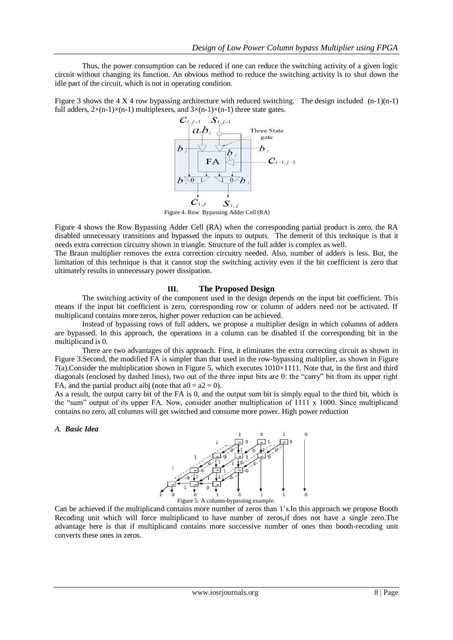Thus, the power consumption can be reduced if one can reduce the switching activity of a given logic circuit without changing its function. An obvious method to reduce the switching activity is to shut down the idle part of the circuit, which is not in operating condition.

Figure 3 shows the 4 X 4 row bypassing architecture with reduced switching. The design included  $(n-1)(n-1)$ full adders,  $2\times(n-1)\times(n-1)$  multiplexers, and  $3\times(n-1)\times(n-1)$  three state gates.



Figure 4 shows the Row Bypassing Adder Cell (RA) when the corresponding partial product is zero, the RA disabled unnecessary transitions and bypassed the inputs to outputs. The demerit of this technique is that it needs extra correction circuitry shown in triangle. Structure of the full adder is complex as well.

The Braun multiplier removes the extra correction circuitry needed. Also, number of adders is less. But, the limitation of this technique is that it cannot stop the switching activity even if the bit coefficient is zero that ultimately results in unnecessary power dissipation.

### **III. The Proposed Design**

The switching activity of the component used in the design depends on the input bit coefficient. This means if the input bit coefficient is zero, corresponding row or column of adders need not be activated. If multiplicand contains more zeros, higher power reduction can be achieved.

Instead of bypassing rows of full adders, we propose a multiplier design in which columns of adders are bypassed. In this approach, the operations in a column can be disabled if the corresponding bit in the multiplicand is 0.

There are two advantages of this approach. First, it eliminates the extra correcting circuit as shown in Figure 3.Second, the modified FA is simpler than that used in the row-bypassing multiplier, as shown in Figure  $7(a)$ .Consider the multiplication shown in Figure 5, which executes  $1010\times1111$ . Note that, in the first and third diagonals (enclosed by dashed lines), two out of the three input bits are 0: the "carry" bit from its upper right FA, and the partial product aibj (note that  $a0 = a2 = 0$ ).

As a result, the output carry bit of the FA is 0, and the output sum bit is simply equal to the third bit, which is the "sum" output of its upper FA. Now, consider another multiplication of 1111 x 1000. Since multiplicand contains no zero, all columns will get switched and consume more power. High power reduction

*A. Basic Idea*



Can be achieved if the multiplicand contains more number of zeros than 1's.In this approach we propose Booth Recoding unit which will force multiplicand to have number of zeros,if does not have a single zero.The advantage here is that if multiplicand contains more successive number of ones then booth-recoding unit converts these ones in zeros.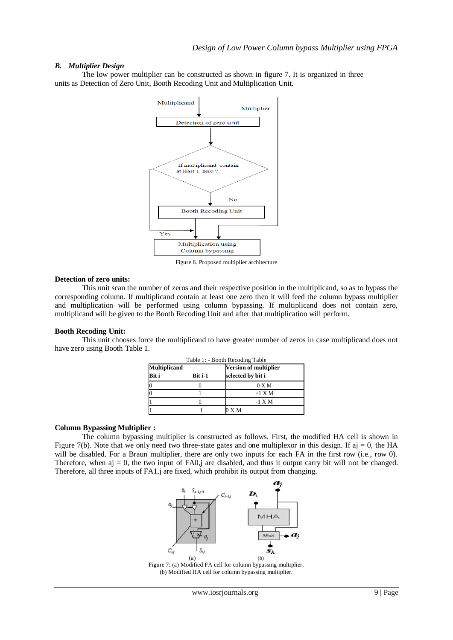# *B. Multiplier Design*

The low power multiplier can be constructed as shown in figure 7. It is organized in three units as Detection of Zero Unit, Booth Recoding Unit and Multiplication Unit.



Figure 6. Proposed multiplier architecture

#### **Detection of zero units:**

This unit scan the number of zeros and their respective position in the multiplicand, so as to bypass the corresponding column. If multiplicand contain at least one zero then it will feed the column bypass multiplier and multiplication will be performed using column bypassing. If multiplicand does not contain zero, multiplicand will be given to the Booth Recoding Unit and after that multiplication will perform.

### **Booth Recoding Unit:**

This unit chooses force the multiplicand to have greater number of zeros in case multiplicand does not have zero using Booth Table 1.

|                     |         | Table 1: - Booth Recoding Table |
|---------------------|---------|---------------------------------|
| <b>Multiplicand</b> |         | <b>Version of multiplier</b>    |
| Bit i               | Bit i-1 | selected by bit i               |
|                     |         | 0 X M                           |
|                     |         | $+1$ X M                        |
|                     |         | $-1$ X M                        |
|                     |         | X M                             |

### **Column Bypassing Multiplier :**

The column bypassing multiplier is constructed as follows. First, the modified HA cell is shown in Figure 7(b). Note that we only need two three-state gates and one multiplexor in this design. If aj = 0, the HA will be disabled. For a Braun multiplier, there are only two inputs for each FA in the first row (i.e., row 0). Therefore, when  $a<sub>i</sub> = 0$ , the two input of FA0,j are disabled, and thus it output carry bit will not be changed. Therefore, all three inputs of FA1,j are fixed, which prohibit its output from changing.



Figure 7: (a) Modified FA cell for column bypassing multiplier. (b) Modified HA cell for column bypassing multiplier.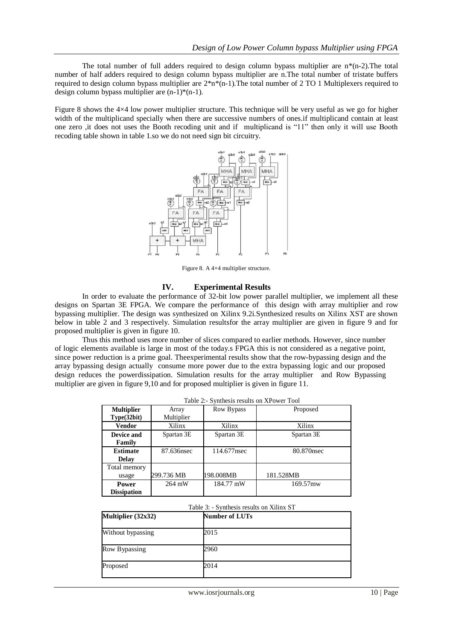The total number of full adders required to design column bypass multiplier are  $n*(n-2)$ . The total number of half adders required to design column bypass multiplier are n.The total number of tristate buffers required to design column bypass multiplier are  $2^*n^*(n-1)$ . The total number of 2 TO 1 Multiplexers required to design column bypass multiplier are  $(n-1)*(n-1)$ .

Figure 8 shows the 4×4 low power multiplier structure. This technique will be very useful as we go for higher width of the multiplicand specially when there are successive numbers of ones.if multiplicand contain at least one zero ,it does not uses the Booth recoding unit and if multiplicand is "11" then only it will use Booth recoding table shown in table 1.so we do not need sign bit circuitry.



Figure 8. A 4×4 multiplier structure.

### **IV. Experimental Results**

In order to evaluate the performance of 32-bit low power parallel multiplier, we implement all these designs on Spartan 3E FPGA. We compare the performance of this design with array multiplier and row bypassing multiplier. The design was synthesized on Xilinx 9.2i.Synthesized results on Xilinx XST are shown below in table 2 and 3 respectively. Simulation resultsfor the array multiplier are given in figure 9 and for proposed multiplier is given in figure 10.

Thus this method uses more number of slices compared to earlier methods. However, since number of logic elements available is large in most of the today.s FPGA this is not considered as a negative point, since power reduction is a prime goal. Theexperimental results show that the row-bypassing design and the array bypassing design actually consume more power due to the extra bypassing logic and our proposed design reduces the powerdissipation. Simulation results for the array multiplier and Row Bypassing multiplier are given in figure 9,10 and for proposed multiplier is given in figure 11.

|                    | Table 2.- Synthesis results on AI Owel 1001 |             |            |  |  |  |  |  |
|--------------------|---------------------------------------------|-------------|------------|--|--|--|--|--|
| <b>Multiplier</b>  | Array                                       | Row Bypass  | Proposed   |  |  |  |  |  |
| Type(32bit)        | Multiplier                                  |             |            |  |  |  |  |  |
| <b>Vendor</b>      | Xilinx                                      | Xilinx      | Xilinx     |  |  |  |  |  |
| Device and         | Spartan 3E                                  | Spartan 3E  | Spartan 3E |  |  |  |  |  |
| Family             |                                             |             |            |  |  |  |  |  |
| <b>Estimate</b>    | 87.636nsec                                  | 114.677nsec | 80.870nsec |  |  |  |  |  |
| <b>Delay</b>       |                                             |             |            |  |  |  |  |  |
| Total memory       |                                             |             |            |  |  |  |  |  |
| usage              | 299.736 MB                                  | 198.008MB   | 181.528MB  |  |  |  |  |  |
| <b>Power</b>       | 264 mW                                      | 184.77 mW   | 169.57mw   |  |  |  |  |  |
| <b>Dissipation</b> |                                             |             |            |  |  |  |  |  |

| Table 2:- Synthesis results on XPower Tool |  |  |  |  |  |  |  |  |  |  |
|--------------------------------------------|--|--|--|--|--|--|--|--|--|--|
|--------------------------------------------|--|--|--|--|--|--|--|--|--|--|

# Table 3: - Synthesis results on Xilinx ST

| Multiplier (32x32) | <b>Number of LUTs</b> |
|--------------------|-----------------------|
| Without bypassing  | 2015                  |
| Row Bypassing      | 2960                  |
| Proposed           | 2014                  |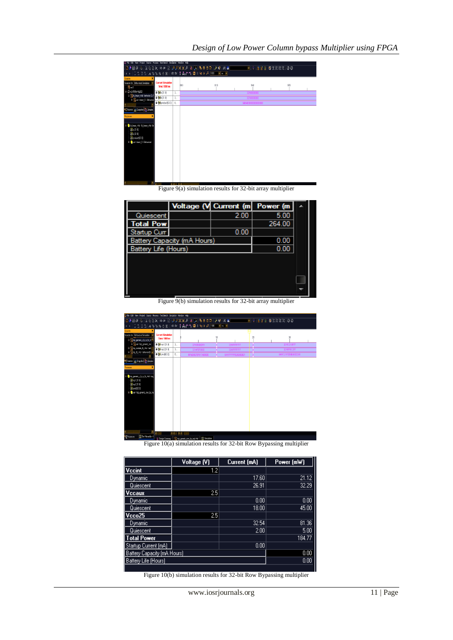| E File Edit View Project Source Process Test-Bench Smulation Window Help                                                                                                                              |     |     |     |                  |     |  |
|-------------------------------------------------------------------------------------------------------------------------------------------------------------------------------------------------------|-----|-----|-----|------------------|-----|--|
| <b>EDBEALSERX AN REPAXXA BINEBUDEAY : MWITH</b>                                                                                                                                                       |     |     |     | ■ ? 旧日日 春気まます 30 |     |  |
| <b>Ξ일클일 ▲%%%☆ @ ※ : 소설   ‡ ☆ ↑ 집    ५ ▶ ア- 100 - ▽ ne ▽</b>                                                                                                                                           |     |     |     |                  |     |  |
| <b>Sources</b>                                                                                                                                                                                        |     |     |     |                  |     |  |
| Sources for: Behavioral Simulation<br><b>Current Simulation</b><br>Time: 1000 ns<br>$5$ row3                                                                                                          |     | 880 | 910 | 940              | 970 |  |
| E C xc3:500e-4fg320<br><b>D 84</b> a[31.0]                                                                                                                                                            | 3.5 |     |     |                  |     |  |
| B R to braun, vind - behavior (G:/<br><b>0 8 b 31:0</b><br>B Nut brain 8 Behaviora                                                                                                                    | 3.  |     |     |                  |     |  |
| $\blacksquare$ $\blacksquare$ preduct(63.0)                                                                                                                                                           | 6.  |     |     |                  |     |  |
| <b>Rit</b> Sources et Snapohol <b>Th</b> Libraries<br>Processes<br>E-Citb_braun_vind-tb_braun_vind-b<br>$\mathbb{N}$ : [31:0]<br>$\partial$ (b [31:0]<br>Xproduct [63.0]<br>E-Bout-braun_8-Behavioral |     |     |     |                  |     |  |

Figure 9(a) simulation results for 32-bit array multiplier

|                      |                             | Voltage (V Current (m) | Power (m |  |
|----------------------|-----------------------------|------------------------|----------|--|
| Quiescent            |                             | 2.00                   | 5.00     |  |
| <b>Total Pow</b>     |                             |                        | 264.00   |  |
| Startup Curr         |                             | 0.00                   |          |  |
|                      | Battery Capacity (mA Hours) |                        | 0.00     |  |
| Battery Life (Hours) |                             |                        | 0.00     |  |
|                      |                             |                        |          |  |
|                      |                             |                        |          |  |
|                      |                             |                        |          |  |
|                      |                             |                        |          |  |
|                      |                             |                        |          |  |

Figure 9(b) simulation results for 32-bit array multiplier

| DDBIO & XQQX QO Q DPAXX A B A BOD P A Y M B<br>│□일곱일│★%%%④※‼ ₾@ ↑☆↑■Ⅱ€▶♪ POO vm vm<br>Sources                                                                                                                                                   |             |                                                                      |    |    | ■ ? : 雷雷図 審問課題に30 |
|-------------------------------------------------------------------------------------------------------------------------------------------------------------------------------------------------------------------------------------------------|-------------|----------------------------------------------------------------------|----|----|-------------------|
| Sources for Behavioral Smulation v<br><b>Current Smulation</b><br>Time: 1000 ns<br>B <mark>N</mark> top generic rbn b+^                                                                                                                         |             |                                                                      | 10 | 20 | 30                |
| El Quat-top_generic_row<br><b>B</b> 81 inp1[31:0]                                                                                                                                                                                               | 3           |                                                                      |    |    |                   |
| The module to viral beh<br><b>D</b> 81 inp2(31:0)<br>The top to whole behavior (B: w                                                                                                                                                            | 3           |                                                                      |    |    |                   |
| <b>D B4</b> prodi63:00                                                                                                                                                                                                                          | 6           |                                                                      |    |    |                   |
| <b>Of Sources and Shapshot In Libraries</b><br><b>Processes</b><br>B top generic r b m to vhd top<br>$\mathbf{X}$ rei [31:0]<br>$X = 231.0$<br>X and [63.0]<br>El Bout - top_generic_row_by_m.<br>v Sm Hierarchy - I<br><sup>i</sup> l Pocesses | $>$ < $>$ < | Without Concerns. <b>Chairman and the second of The Constitution</b> |    |    |                   |

Figure 10(a) simulation results for 32-bit Row Bypassing multiplier

|                             | Voltage [V] | Current (mA) | Power (mW) |
|-----------------------------|-------------|--------------|------------|
| Vccint                      | 1.2         |              |            |
| Dynamic                     |             | 17.60        | 21.12      |
| Quiescent                   |             | 26.91        | 32.29      |
| <b>Vccaux</b>               | 2.5         |              |            |
| Dynamic                     |             | 0.00         | 0.00       |
| Quiescent                   |             | 18.00        | 45.00      |
| Vcco25                      | 2.5         |              |            |
| Dynamic                     |             | 32.54        | 81.36      |
| Quiescent                   |             | 2.00         | 5.00       |
| <b>Total Power</b>          |             |              | 184.77     |
| Startup Current (mA)        |             | 0.00         |            |
| Battery Capacity (mA Hours) |             |              | 0.00       |
| Battery Life (Hours)        |             |              | 0.00       |
|                             |             |              |            |

Figure 10(b) simulation results for 32-bit Row Bypassing multiplier